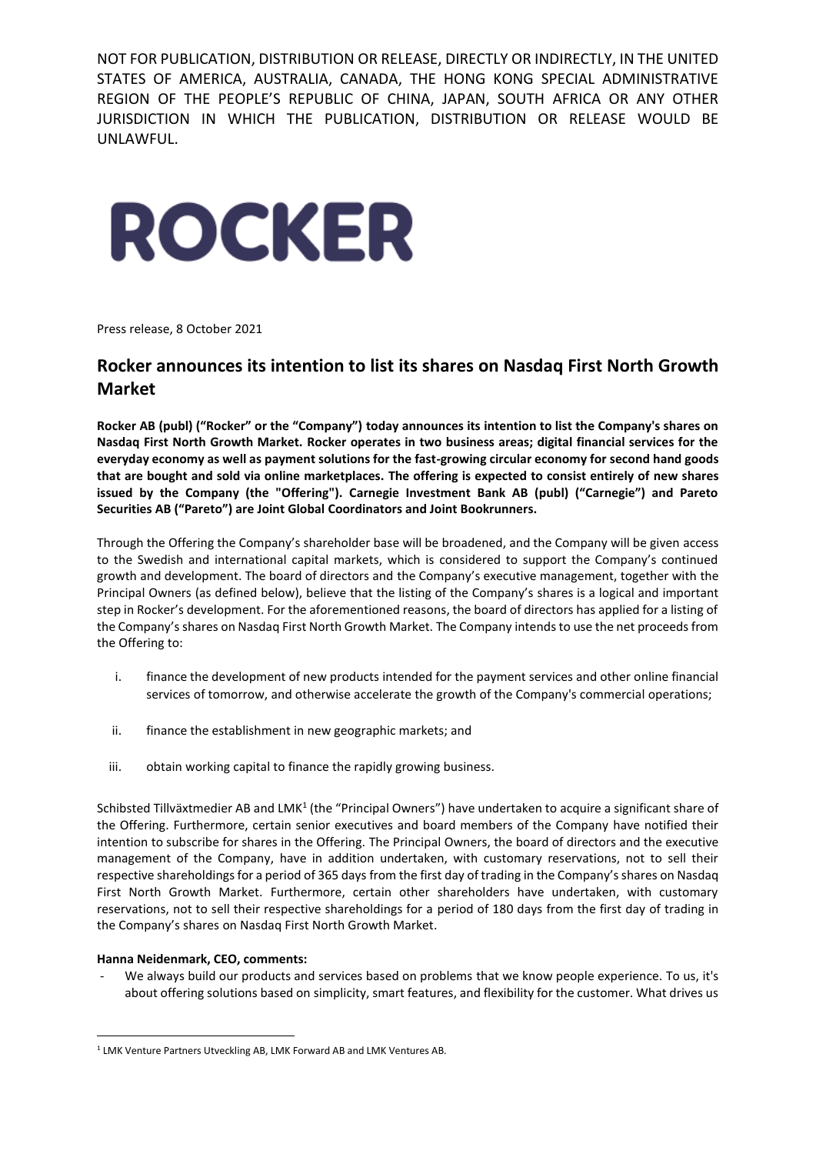NOT FOR PUBLICATION, DISTRIBUTION OR RELEASE, DIRECTLY OR INDIRECTLY, IN THE UNITED STATES OF AMERICA, AUSTRALIA, CANADA, THE HONG KONG SPECIAL ADMINISTRATIVE REGION OF THE PEOPLE'S REPUBLIC OF CHINA, JAPAN, SOUTH AFRICA OR ANY OTHER JURISDICTION IN WHICH THE PUBLICATION, DISTRIBUTION OR RELEASE WOULD BE UNLAWFUL.

# **ROCKER**

Press release, 8 October 2021

# **Rocker announces its intention to list its shares on Nasdaq First North Growth Market**

**Rocker AB (publ) ("Rocker" or the "Company") today announces its intention to list the Company's shares on Nasdaq First North Growth Market. Rocker operates in two business areas; digital financial services for the everyday economy as well as payment solutions for the fast-growing circular economy for second hand goods that are bought and sold via online marketplaces. The offering is expected to consist entirely of new shares issued by the Company (the "Offering"). Carnegie Investment Bank AB (publ) ("Carnegie") and Pareto Securities AB ("Pareto") are Joint Global Coordinators and Joint Bookrunners.**

Through the Offering the Company's shareholder base will be broadened, and the Company will be given access to the Swedish and international capital markets, which is considered to support the Company's continued growth and development. The board of directors and the Company's executive management, together with the Principal Owners (as defined below), believe that the listing of the Company's shares is a logical and important step in Rocker's development. For the aforementioned reasons, the board of directors has applied for a listing of the Company's shares on Nasdaq First North Growth Market. The Company intends to use the net proceeds from the Offering to:

- i. finance the development of new products intended for the payment services and other online financial services of tomorrow, and otherwise accelerate the growth of the Company's commercial operations;
- ii. finance the establishment in new geographic markets; and
- iii. obtain working capital to finance the rapidly growing business.

Schibsted Tillväxtmedier AB and LMK<sup>1</sup> (the "Principal Owners") have undertaken to acquire a significant share of the Offering. Furthermore, certain senior executives and board members of the Company have notified their intention to subscribe for shares in the Offering. The Principal Owners, the board of directors and the executive management of the Company, have in addition undertaken, with customary reservations, not to sell their respective shareholdings for a period of 365 days from the first day of trading in the Company's shares on Nasdaq First North Growth Market. Furthermore, certain other shareholders have undertaken, with customary reservations, not to sell their respective shareholdings for a period of 180 days from the first day of trading in the Company's shares on Nasdaq First North Growth Market.

# **Hanna Neidenmark, CEO, comments:**

We always build our products and services based on problems that we know people experience. To us, it's about offering solutions based on simplicity, smart features, and flexibility for the customer. What drives us

<sup>1</sup> LMK Venture Partners Utveckling AB, LMK Forward AB and LMK Ventures AB.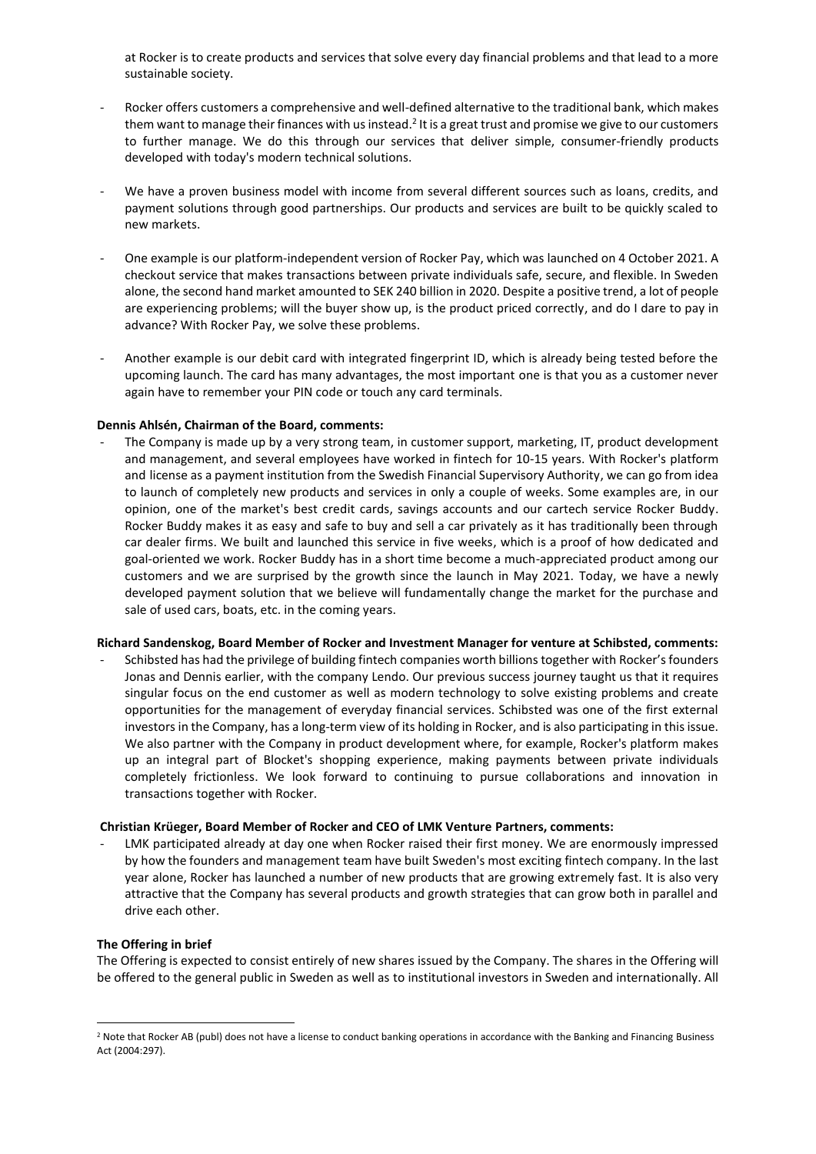at Rocker is to create products and services that solve every day financial problems and that lead to a more sustainable society.

- Rocker offers customers a comprehensive and well-defined alternative to the traditional bank, which makes them want to manage their finances with us instead.<sup>2</sup> It is a great trust and promise we give to our customers to further manage. We do this through our services that deliver simple, consumer-friendly products developed with today's modern technical solutions.
- We have a proven business model with income from several different sources such as loans, credits, and payment solutions through good partnerships. Our products and services are built to be quickly scaled to new markets.
- One example is our platform-independent version of Rocker Pay, which was launched on 4 October 2021. A checkout service that makes transactions between private individuals safe, secure, and flexible. In Sweden alone, the second hand market amounted to SEK 240 billion in 2020. Despite a positive trend, a lot of people are experiencing problems; will the buyer show up, is the product priced correctly, and do I dare to pay in advance? With Rocker Pay, we solve these problems.
- Another example is our debit card with integrated fingerprint ID, which is already being tested before the upcoming launch. The card has many advantages, the most important one is that you as a customer never again have to remember your PIN code or touch any card terminals.

# **Dennis Ahlsén, Chairman of the Board, comments:**

The Company is made up by a very strong team, in customer support, marketing, IT, product development and management, and several employees have worked in fintech for 10-15 years. With Rocker's platform and license as a payment institution from the Swedish Financial Supervisory Authority, we can go from idea to launch of completely new products and services in only a couple of weeks. Some examples are, in our opinion, one of the market's best credit cards, savings accounts and our cartech service Rocker Buddy. Rocker Buddy makes it as easy and safe to buy and sell a car privately as it has traditionally been through car dealer firms. We built and launched this service in five weeks, which is a proof of how dedicated and goal-oriented we work. Rocker Buddy has in a short time become a much-appreciated product among our customers and we are surprised by the growth since the launch in May 2021. Today, we have a newly developed payment solution that we believe will fundamentally change the market for the purchase and sale of used cars, boats, etc. in the coming years.

# **Richard Sandenskog, Board Member of Rocker and Investment Manager for venture at Schibsted, comments:**

- Schibsted has had the privilege of building fintech companies worth billions together with Rocker's founders Jonas and Dennis earlier, with the company Lendo. Our previous success journey taught us that it requires singular focus on the end customer as well as modern technology to solve existing problems and create opportunities for the management of everyday financial services. Schibsted was one of the first external investors in the Company, has a long-term view of its holding in Rocker, and is also participating in this issue. We also partner with the Company in product development where, for example, Rocker's platform makes up an integral part of Blocket's shopping experience, making payments between private individuals completely frictionless. We look forward to continuing to pursue collaborations and innovation in transactions together with Rocker.

# **Christian Krüeger, Board Member of Rocker and CEO of LMK Venture Partners, comments:**

LMK participated already at day one when Rocker raised their first money. We are enormously impressed by how the founders and management team have built Sweden's most exciting fintech company. In the last year alone, Rocker has launched a number of new products that are growing extremely fast. It is also very attractive that the Company has several products and growth strategies that can grow both in parallel and drive each other.

# **The Offering in brief**

The Offering is expected to consist entirely of new shares issued by the Company. The shares in the Offering will be offered to the general public in Sweden as well as to institutional investors in Sweden and internationally. All

<sup>&</sup>lt;sup>2</sup> Note that Rocker AB (publ) does not have a license to conduct banking operations in accordance with the Banking and Financing Business Act (2004:297).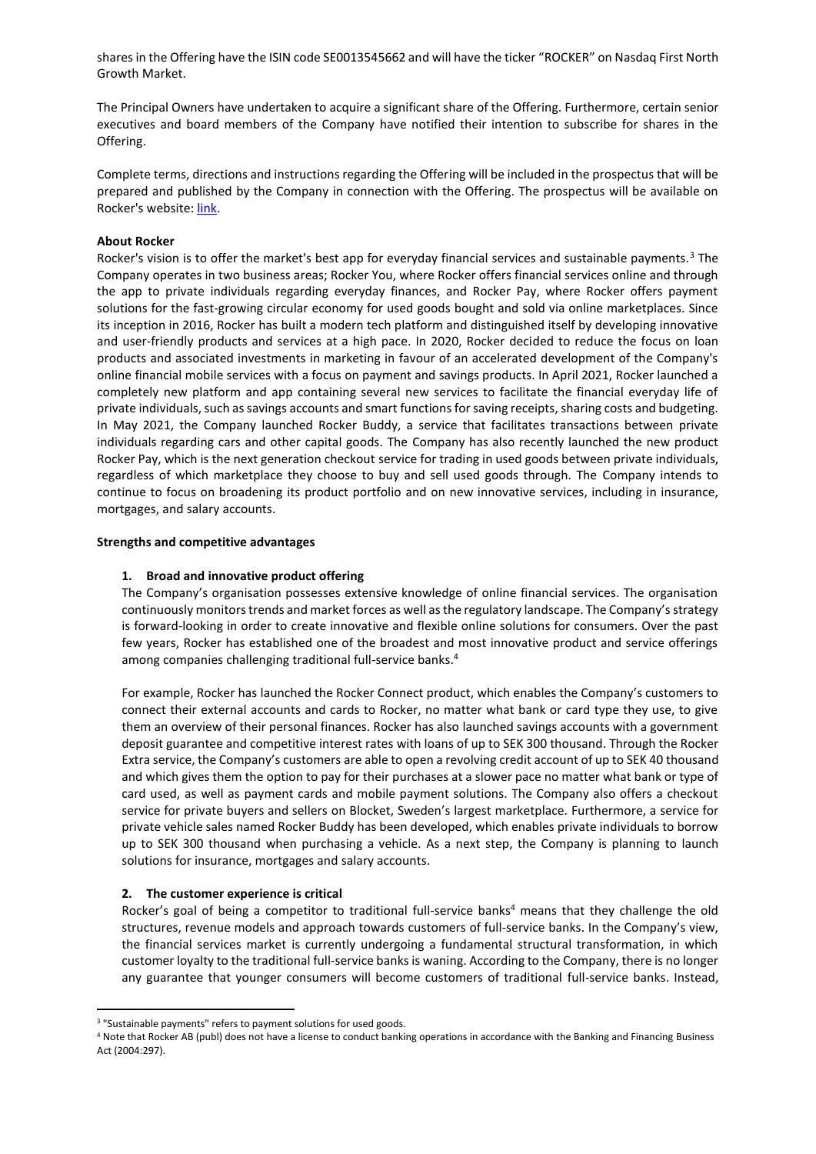shares in the Offering have the ISIN code SE0013545662 and will have the ticker "ROCKER" on Nasdaq First North Growth Market.

The Principal Owners have undertaken to acquire a significant share of the Offering. Furthermore, certain senior executives and board members of the Company have notified their intention to subscribe for shares in the Offering.

Complete terms, directions and instructions regarding the Offering will be included in the prospectus that will be prepared and published by the Company in connection with the Offering. The prospectus will be available on Rocker's website: [link.](https://corporate.rocker.com/investors/invest-in-rocker/)

## **About Rocker**

Rocker's vision is to offer the market's best app for everyday financial services and sustainable payments.<sup>3</sup> The Company operates in two business areas; Rocker You, where Rocker offers financial services online and through the app to private individuals regarding everyday finances, and Rocker Pay, where Rocker offers payment solutions for the fast-growing circular economy for used goods bought and sold via online marketplaces. Since its inception in 2016, Rocker has built a modern tech platform and distinguished itself by developing innovative and user-friendly products and services at a high pace. In 2020, Rocker decided to reduce the focus on loan products and associated investments in marketing in favour of an accelerated development of the Company's online financial mobile services with a focus on payment and savings products. In April 2021, Rocker launched a completely new platform and app containing several new services to facilitate the financial everyday life of private individuals, such as savings accounts and smart functions for saving receipts, sharing costs and budgeting. In May 2021, the Company launched Rocker Buddy, a service that facilitates transactions between private individuals regarding cars and other capital goods. The Company has also recently launched the new product Rocker Pay, which is the next generation checkout service for trading in used goods between private individuals, regardless of which marketplace they choose to buy and sell used goods through. The Company intends to continue to focus on broadening its product portfolio and on new innovative services, including in insurance, mortgages, and salary accounts.

#### **Strengths and competitive advantages**

#### **1. Broad and innovative product offering**

The Company's organisation possesses extensive knowledge of online financial services. The organisation continuously monitors trends and market forces as well as the regulatory landscape. The Company's strategy is forward-looking in order to create innovative and flexible online solutions for consumers. Over the past few years, Rocker has established one of the broadest and most innovative product and service offerings among companies challenging traditional full-service banks.<sup>4</sup>

For example, Rocker has launched the Rocker Connect product, which enables the Company's customers to connect their external accounts and cards to Rocker, no matter what bank or card type they use, to give them an overview of their personal finances. Rocker has also launched savings accounts with a government deposit guarantee and competitive interest rates with loans of up to SEK 300 thousand. Through the Rocker Extra service, the Company's customers are able to open a revolving credit account of up to SEK 40 thousand and which gives them the option to pay for their purchases at a slower pace no matter what bank or type of card used, as well as payment cards and mobile payment solutions. The Company also offers a checkout service for private buyers and sellers on Blocket, Sweden's largest marketplace. Furthermore, a service for private vehicle sales named Rocker Buddy has been developed, which enables private individuals to borrow up to SEK 300 thousand when purchasing a vehicle. As a next step, the Company is planning to launch solutions for insurance, mortgages and salary accounts.

#### **2. The customer experience is critical**

Rocker's goal of being a competitor to traditional full-service banks<sup>4</sup> means that they challenge the old structures, revenue models and approach towards customers of full-service banks. In the Company's view, the financial services market is currently undergoing a fundamental structural transformation, in which customer loyalty to the traditional full-service banks is waning. According to the Company, there is no longer any guarantee that younger consumers will become customers of traditional full-service banks. Instead,

<sup>&</sup>lt;sup>3</sup> "Sustainable payments" refers to payment solutions for used goods.

<sup>4</sup> Note that Rocker AB (publ) does not have a license to conduct banking operations in accordance with the Banking and Financing Business Act (2004:297).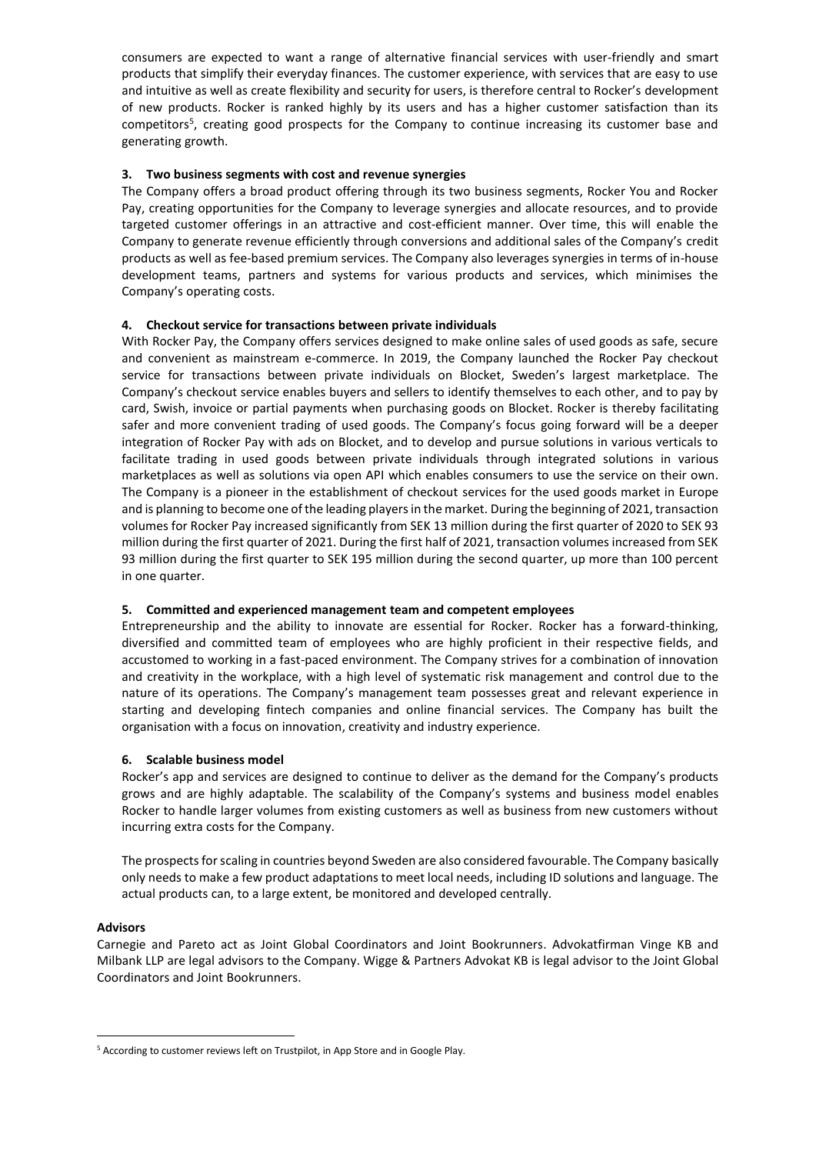consumers are expected to want a range of alternative financial services with user-friendly and smart products that simplify their everyday finances. The customer experience, with services that are easy to use and intuitive as well as create flexibility and security for users, is therefore central to Rocker's development of new products. Rocker is ranked highly by its users and has a higher customer satisfaction than its competitors<sup>5</sup>, creating good prospects for the Company to continue increasing its customer base and generating growth.

# **3. Two business segments with cost and revenue synergies**

The Company offers a broad product offering through its two business segments, Rocker You and Rocker Pay, creating opportunities for the Company to leverage synergies and allocate resources, and to provide targeted customer offerings in an attractive and cost-efficient manner. Over time, this will enable the Company to generate revenue efficiently through conversions and additional sales of the Company's credit products as well as fee-based premium services. The Company also leverages synergies in terms of in-house development teams, partners and systems for various products and services, which minimises the Company's operating costs.

# **4. Checkout service for transactions between private individuals**

With Rocker Pay, the Company offers services designed to make online sales of used goods as safe, secure and convenient as mainstream e-commerce. In 2019, the Company launched the Rocker Pay checkout service for transactions between private individuals on Blocket, Sweden's largest marketplace. The Company's checkout service enables buyers and sellers to identify themselves to each other, and to pay by card, Swish, invoice or partial payments when purchasing goods on Blocket. Rocker is thereby facilitating safer and more convenient trading of used goods. The Company's focus going forward will be a deeper integration of Rocker Pay with ads on Blocket, and to develop and pursue solutions in various verticals to facilitate trading in used goods between private individuals through integrated solutions in various marketplaces as well as solutions via open API which enables consumers to use the service on their own. The Company is a pioneer in the establishment of checkout services for the used goods market in Europe and is planning to become one of the leading players in the market. During the beginning of 2021, transaction volumes for Rocker Pay increased significantly from SEK 13 million during the first quarter of 2020 to SEK 93 million during the first quarter of 2021. During the first half of 2021, transaction volumes increased from SEK 93 million during the first quarter to SEK 195 million during the second quarter, up more than 100 percent in one quarter.

# **5. Committed and experienced management team and competent employees**

Entrepreneurship and the ability to innovate are essential for Rocker. Rocker has a forward-thinking, diversified and committed team of employees who are highly proficient in their respective fields, and accustomed to working in a fast-paced environment. The Company strives for a combination of innovation and creativity in the workplace, with a high level of systematic risk management and control due to the nature of its operations. The Company's management team possesses great and relevant experience in starting and developing fintech companies and online financial services. The Company has built the organisation with a focus on innovation, creativity and industry experience.

# **6. Scalable business model**

Rocker's app and services are designed to continue to deliver as the demand for the Company's products grows and are highly adaptable. The scalability of the Company's systems and business model enables Rocker to handle larger volumes from existing customers as well as business from new customers without incurring extra costs for the Company.

The prospects for scaling in countries beyond Sweden are also considered favourable. The Company basically only needs to make a few product adaptations to meet local needs, including ID solutions and language. The actual products can, to a large extent, be monitored and developed centrally.

# **Advisors**

Carnegie and Pareto act as Joint Global Coordinators and Joint Bookrunners. Advokatfirman Vinge KB and Milbank LLP are legal advisors to the Company. Wigge & Partners Advokat KB is legal advisor to the Joint Global Coordinators and Joint Bookrunners.

<sup>5</sup> According to customer reviews left on Trustpilot, in App Store and in Google Play.